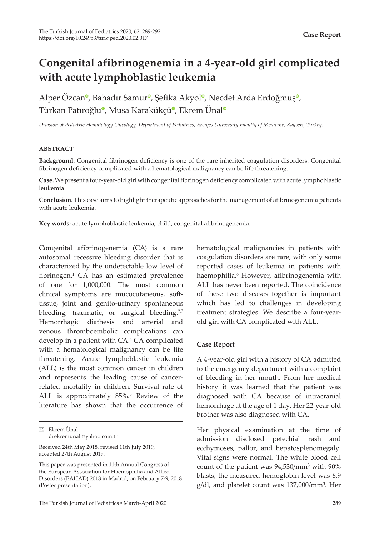# **Congenital afibrinogenemia in a 4-year-old girl complicated with acute lymphoblastic leukemia**

Alper Özcan<sup>o</sup>[,](https://orcid.org/0000-0003-0051-4274) Bahadır Samur<sup>o</sup>, Şefika Akyol<sup>o</sup>, Necdet Arda Erdoğmu[ş](https://orcid.org/0000-0003-1895-9132)<sup>o</sup>, Türkan Patıroğl[u](https://orcid.org/0000-0003-2471-764X)®[,](https://orcid.org/0000-0003-2015-3541) Musa Karakükçü®, Ekrem Üna[l](https://orcid.org/0000-0002-2691-4826)®

*Division of Pediatric Hematology Oncology, Department of Pediatrics, Erciyes University Faculty of Medicine, Kayseri, Turkey.*

#### **ABSTRACT**

**Background.** Congenital fibrinogen deficiency is one of the rare inherited coagulation disorders. Congenital fibrinogen deficiency complicated with a hematological malignancy can be life threatening.

**Case.** We present a four-year-old girl with congenital fibrinogen deficiency complicated with acute lymphoblastic leukemia.

**Conclusion.** This case aims to highlight therapeutic approaches for the management of afibrinogenemia patients with acute leukemia.

**Key words:** acute lymphoblastic leukemia, child, congenital afibrinogenemia.

Congenital afibrinogenemia (CA) is a rare autosomal recessive bleeding disorder that is characterized by the undetectable low level of fibrinogen.<sup>1</sup> CA has an estimated prevalence of one for 1,000,000. The most common clinical symptoms are mucocutaneous, softtissue, joint and genito-urinary spontaneous bleeding, traumatic, or surgical bleeding. $2,3$ Hemorrhagic diathesis and arterial and venous thromboembolic complications can develop in a patient with CA.4 CA complicated with a hematological malignancy can be life threatening. Acute lymphoblastic leukemia (ALL) is the most common cancer in children and represents the leading cause of cancerrelated mortality in children. Survival rate of ALL is approximately 85%.<sup>5</sup> Review of the literature has shown that the occurrence of

Received 24th May 2018, revised 11th July 2019, accepted 27th August 2019.

hematological malignancies in patients with coagulation disorders are rare, with only some reported cases of leukemia in patients with haemophilia.<sup>6</sup> However, afibrinogenemia with ALL has never been reported. The coincidence of these two diseases together is important which has led to challenges in developing treatment strategies. We describe a four-yearold girl with CA complicated with ALL.

### **Case Report**

A 4-year-old girl with a history of CA admitted to the emergency department with a complaint of bleeding in her mouth. From her medical history it was learned that the patient was diagnosed with CA because of intracranial hemorrhage at the age of 1 day. Her 22-year-old brother was also diagnosed with CA.

Her physical examination at the time of admission disclosed petechial rash and ecchymoses, pallor, and hepatosplenomegaly. Vital signs were normal. The white blood cell count of the patient was 94,530/mm3 with 90% blasts, the measured hemoglobin level was 6,9 g/dl, and platelet count was 137,000/mm3 . Her

Ekrem Ünal drekremunal @yahoo.com.tr

This paper was presented in 11th Annual Congress of the European Association for Haemophilia and Allied Disorders (EAHAD) 2018 in Madrid, on February 7-9, 2018 (Poster presentation).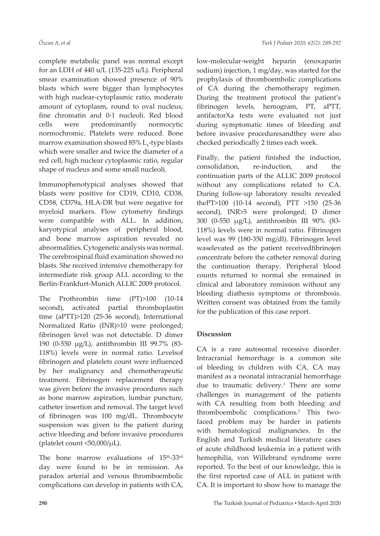complete metabolic panel was normal except for an LDH of 440 u/L (135-225 u/L). Peripheral smear examination showed presence of 90% blasts which were bigger than lymphocytes with high nuclear-cytoplasmic ratio, moderate amount of cytoplasm, round to oval nucleus, fine chromatin and 0-1 nucleoli. Red blood cells were predominantly normocytic normochromic. Platelets were reduced. Bone marrow examination showed 85%  $\text{L}_\text{i}$ -type blasts which were smaller and twice the diameter of a red cell, high nuclear cytoplasmic ratio, regular shape of nucleus and some small nucleoli.

Immunophenotypical analyses showed that blasts were positive for CD19, CD10, CD38, CD58, CD79a, HLA-DR but were negative for myeloid markers. Flow cytometry findings were compatible with ALL. In addition, karyotypical analyses of peripheral blood, and bone marrow aspiration revealed no abnormalities. Cytogenetic analysis was normal. The cerebrospinal fluid examination showed no blasts. She received intensive chemotherapy for intermediate risk group ALL according to the Berlin-Frankfurt-Munich ALLIC 2009 protocol.

The Prothrombin time (PT)>100 (10-14 second), activated partial thromboplastin time (aPTT)>120 (25-36 second), International Normalized Ratio (INR)>10 were prolonged; fibrinogen level was not detectable. D dimer 190 (0-550 µg/L), antithrombin III 99.7% (83- 118%) levels were in normal ratio. Levelsof fibrinogen and platelets count were influenced by her malignancy and chemotherapeutic treatment. Fibrinogen replacement therapy was given before the invasive procedures such as bone marrow aspiration, lumbar puncture, catheter insertion and removal. The target level of fibrinogen was 100 mg/dL. Thrombocyte suspension was given to the patient during active bleeding and before invasive procedures (platelet count <50,000/μL).

The bone marrow evaluations of  $15<sup>th</sup>-33<sup>rd</sup>$ day were found to be in remission. As paradox arterial and venous thromboembolic complications can develop in patients with CA, low-molecular-weight heparin (enoxaparin sodium) injection, 1 mg/day, was started for the prophylaxis of thromboembolic complications of CA during the chemotherapy regimen. During the treatment protocol the patient's fibrinogen levels, hemogram, PT, aPTT, antifactorXa tests were evaluated not just during symptomatic times of bleeding and before invasive proceduresandthey were also checked periodically 2 times each week.

Finally, the patient finished the induction, consolidation, re-induction, and the continuation parts of the ALLIC 2009 protocol without any complications related to CA. During follow-up laboratory results revealed thePT>100 (10-14 second), PTT >150 (25-36 second), INR>5 were prolonged; D dimer 300 (0-550 µg/L), antithrombin III 90% (83- 118%) levels were in normal ratio. Fibrinogen level was 99 (180-350 mg/dl). Fibrinogen level waselevated as the patient receivedfibrinojen concentrate before the catheter removal during the continuation therapy. Peripheral blood counts returned to normal she remained in clinical and laboratory remission without any bleeding diathesis symptoms or thrombosis. Written consent was obtained from the family for the publication of this case report.

## **Discussion**

CA is a rare autosomal recessive disorder. Intracranial hemorrhage is a common site of bleeding in children with CA. CA may manifest as a neonatal intracranial hemorrhage due to traumatic delivery.<sup>1</sup> There are some challenges in management of the patients with CA resulting from both bleeding and thromboembolic complications.<sup>2</sup> This twofaced problem may be harder in patients with hematological malignancies. In the English and Turkish medical literature cases of acute childhood leukemia in a patient with hemophilia, von Willebrand syndrome were reported. To the best of our knowledge, this is the first reported case of ALL in patient with CA. It is important to show how to manage the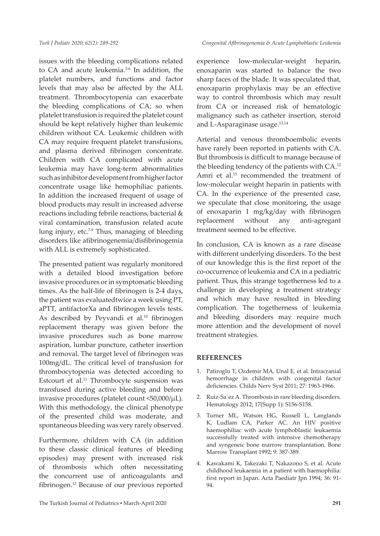issues with the bleeding complications related to CA and acute leukemia.<sup>3-6</sup> In addition, the platelet numbers, and functions and factor levels that may also be affected by the ALL treatment. Thrombocytopenia can exacerbate the bleeding complications of CA; so when platelet transfusion is required the platelet count should be kept relatively higher than leukemic children without CA. Leukemic children with CA may require frequent platelet transfusions, and plasma derived fibrinogen concentrate. Children with CA complicated with acute leukemia may have long-term abnormalities such as inhibitor development from higher factor concentrate usage like hemophiliac patients. In addition the increased frequent of usage of blood products may result in increased adverse reactions including febrile reactions, bacterial & viral contamination, transfusion related acute lung injury, etc.<sup>7-9</sup> Thus, managing of bleeding disorders like afibrinogenemia/disfibrinogemia with ALL is extremely sophisticated.

The presented patient was regularly monitored with a detailed blood investigation before invasive procedures or in symptomatic bleeding times. As the half-life of fibrinogen is 2-4 days, the patient was evaluatedtwice a week using PT, aPTT, antifactorXa and fibrinogen levels tests. As described by Peyvandi et al.<sup>10</sup> fibrinogen replacement therapy was given before the invasive procedures such as bone marrow aspiration, lumbar puncture, catheter insertion and removal. The target level of fibrinogen was 100mg/dL. The critical level of transfusion for thrombocytopenia was detected according to Estcourt et al.<sup>11</sup> Thrombocyte suspension was transfused during active bleeding and before invasive procedures (platelet count <50,000/μL). With this methodology, the clinical phenotype of the presented child was moderate, and spontaneous bleeding was very rarely observed.

Furthermore, children with CA (in addition to these classic clinical features of bleeding episodes) may present with increased risk of thrombosis which often necessitating the concurrent use of anticoagulants and fibrinogen.12 Because of our previous reported

experience low-molecular-weight heparin, enoxaparin was started to balance the two sharp faces of the blade. It was speculated that, enoxaparin prophylaxis may be an effective way to control thrombosis which may result from CA or increased risk of hematologic malignancy such as catheter insertion, steroid and L-Asparaginase usage.<sup>13,14</sup>

Arterial and venous thromboembolic events have rarely been reported in patients with CA. But thrombosis is difficult to manage because of the bleeding tendency of the patients with CA.<sup>12</sup> Amri et al.<sup>15</sup> recommended the treatment of low-molecular weight heparin in patients with CA. In the experience of the presented case, we speculate that close monitoring, the usage of enoxaparin 1 mg/kg/day with fibrinogen replacement without any anti-agregant treatment seemed to be effective.

In conclusion, CA is known as a rare disease with different underlying disorders. To the best of our knowledge this is the first report of the co-occurrence of leukemia and CA in a pediatric patient. Thus, this strange togetherness led to a challenge in developing a treatment strategy and which may have resulted in bleeding complication. The togetherness of leukemia and bleeding disorders may require much more attention and the development of novel treatment strategies.

## **REFERENCES**

- 1. Patiroglu T, Ozdemir MA, Unal E, et al. Intracranial hemorrhage in children with congenital factor deficiencies. Childs Nerv Syst 2011; 27: 1963-1966.
- 2. Ruiz-Sa´ez A. Thrombosis in rare bleeding disorders. Hematology 2012; 17(Supp 1): S156-S158.
- 3. Turner ML, Watson HG, Russell L, Langlands K, Ludlam CA, Parker AC. An HIV positive haemophiliac with acute lymphoblastic leukaemia successfully treated with intensive chemotherapy and syngeneic bone marrow transplantation. Bone Marrow Transplant 1992; 9: 387-389.
- 4. Kawakami K, Takezaki T, Nakazono S, et al. Acute childhood leukaemia in a patient with haemophilia: first report in Japan. Acta Paediatr Jpn 1994; 36: 91- 94.